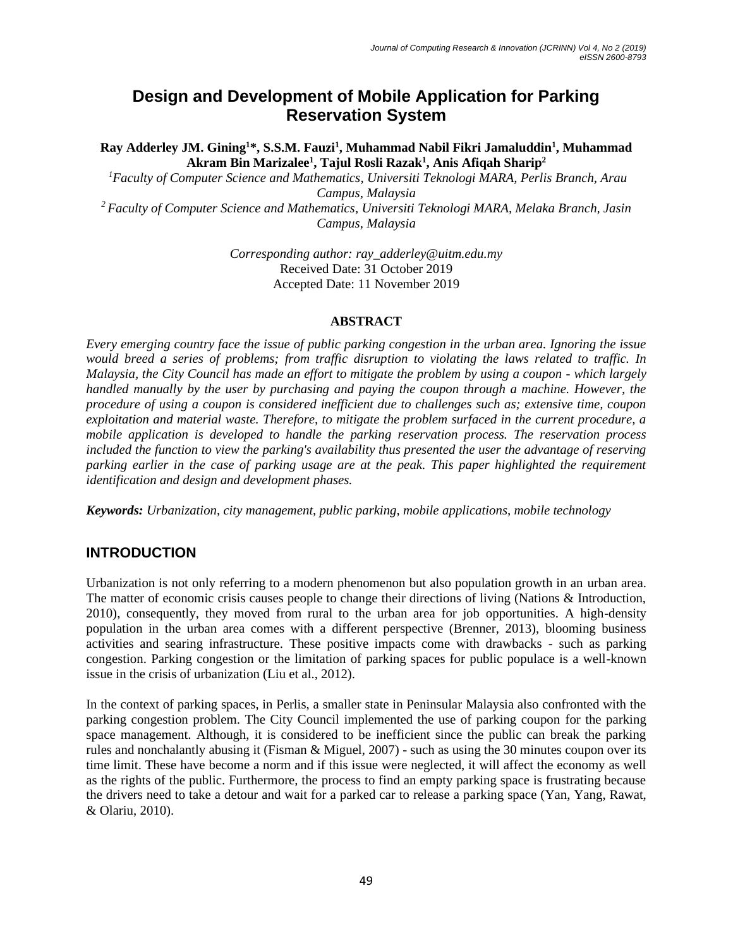# **Design and Development of Mobile Application for Parking Reservation System**

**Ray Adderley JM. Gining<sup>1</sup>\*, S.S.M. Fauzi<sup>1</sup> , Muhammad Nabil Fikri Jamaluddin<sup>1</sup> , Muhammad Akram Bin Marizalee<sup>1</sup> , Tajul Rosli Razak<sup>1</sup> , Anis Afiqah Sharip<sup>2</sup>**

*<sup>1</sup>Faculty of Computer Science and Mathematics, Universiti Teknologi MARA, Perlis Branch, Arau Campus, Malaysia <sup>2</sup> Faculty of Computer Science and Mathematics, Universiti Teknologi MARA, Melaka Branch, Jasin*

*Campus, Malaysia*

*Corresponding author: ray\_adderley@uitm.edu.my* Received Date: 31 October 2019 Accepted Date: 11 November 2019

#### **ABSTRACT**

*Every emerging country face the issue of public parking congestion in the urban area. Ignoring the issue would breed a series of problems; from traffic disruption to violating the laws related to traffic. In Malaysia, the City Council has made an effort to mitigate the problem by using a coupon - which largely handled manually by the user by purchasing and paying the coupon through a machine. However, the procedure of using a coupon is considered inefficient due to challenges such as; extensive time, coupon exploitation and material waste. Therefore, to mitigate the problem surfaced in the current procedure, a mobile application is developed to handle the parking reservation process. The reservation process included the function to view the parking's availability thus presented the user the advantage of reserving parking earlier in the case of parking usage are at the peak. This paper highlighted the requirement identification and design and development phases.*

*Keywords: Urbanization, city management, public parking, mobile applications, mobile technology*

## **INTRODUCTION**

Urbanization is not only referring to a modern phenomenon but also population growth in an urban area. The matter of economic crisis causes people to change their directions of living (Nations & Introduction, 2010), consequently, they moved from rural to the urban area for job opportunities. A high-density population in the urban area comes with a different perspective (Brenner, 2013), blooming business activities and searing infrastructure. These positive impacts come with drawbacks - such as parking congestion. Parking congestion or the limitation of parking spaces for public populace is a well-known issue in the crisis of urbanization (Liu et al., 2012).

In the context of parking spaces, in Perlis, a smaller state in Peninsular Malaysia also confronted with the parking congestion problem. The City Council implemented the use of parking coupon for the parking space management. Although, it is considered to be inefficient since the public can break the parking rules and nonchalantly abusing it (Fisman & Miguel, 2007) - such as using the 30 minutes coupon over its time limit. These have become a norm and if this issue were neglected, it will affect the economy as well as the rights of the public. Furthermore, the process to find an empty parking space is frustrating because the drivers need to take a detour and wait for a parked car to release a parking space (Yan, Yang, Rawat, & Olariu, 2010).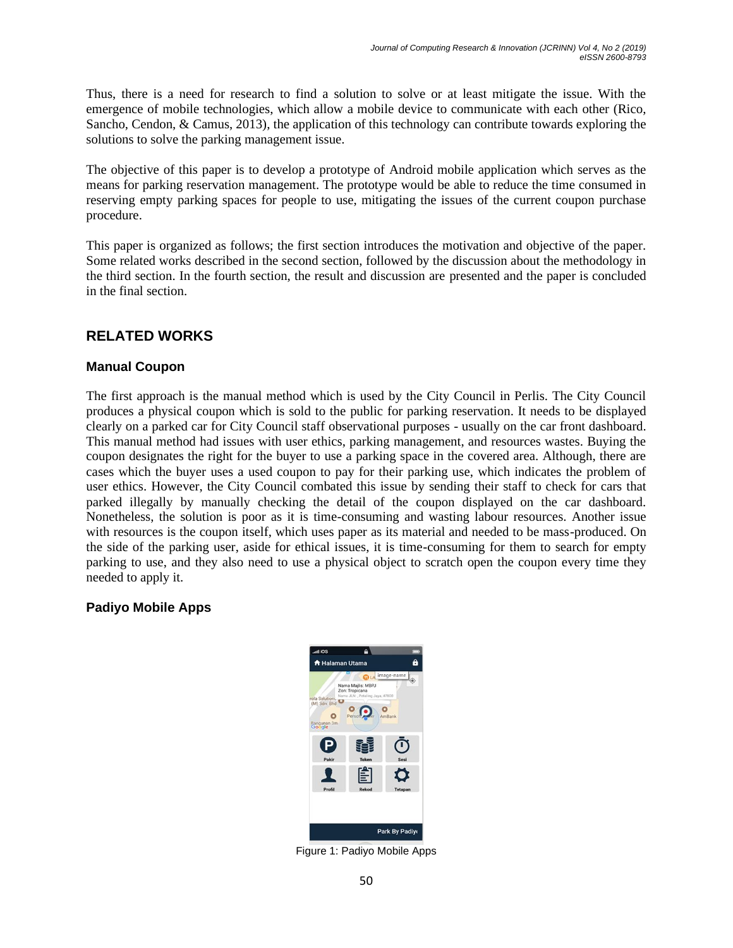Thus, there is a need for research to find a solution to solve or at least mitigate the issue. With the emergence of mobile technologies, which allow a mobile device to communicate with each other (Rico, Sancho, Cendon, & Camus, 2013), the application of this technology can contribute towards exploring the solutions to solve the parking management issue.

The objective of this paper is to develop a prototype of Android mobile application which serves as the means for parking reservation management. The prototype would be able to reduce the time consumed in reserving empty parking spaces for people to use, mitigating the issues of the current coupon purchase procedure.

This paper is organized as follows; the first section introduces the motivation and objective of the paper. Some related works described in the second section, followed by the discussion about the methodology in the third section. In the fourth section, the result and discussion are presented and the paper is concluded in the final section.

## **RELATED WORKS**

### **Manual Coupon**

The first approach is the manual method which is used by the City Council in Perlis. The City Council produces a physical coupon which is sold to the public for parking reservation. It needs to be displayed clearly on a parked car for City Council staff observational purposes - usually on the car front dashboard. This manual method had issues with user ethics, parking management, and resources wastes. Buying the coupon designates the right for the buyer to use a parking space in the covered area. Although, there are cases which the buyer uses a used coupon to pay for their parking use, which indicates the problem of user ethics. However, the City Council combated this issue by sending their staff to check for cars that parked illegally by manually checking the detail of the coupon displayed on the car dashboard. Nonetheless, the solution is poor as it is time-consuming and wasting labour resources. Another issue with resources is the coupon itself, which uses paper as its material and needed to be mass-produced. On the side of the parking user, aside for ethical issues, it is time-consuming for them to search for empty parking to use, and they also need to use a physical object to scratch open the coupon every time they needed to apply it.

### **Padiyo Mobile Apps**



Figure 1: Padiyo Mobile Apps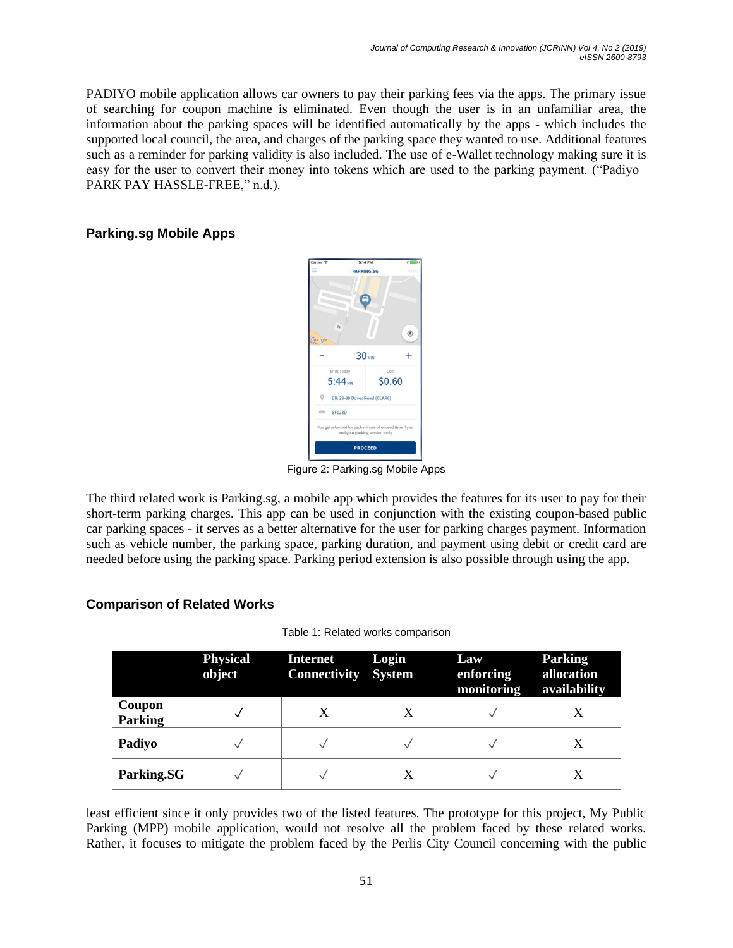PADIYO mobile application allows car owners to pay their parking fees via the apps. The primary issue of searching for coupon machine is eliminated. Even though the user is in an unfamiliar area, the information about the parking spaces will be identified automatically by the apps - which includes the supported local council, the area, and charges of the parking space they wanted to use. Additional features such as a reminder for parking validity is also included. The use of e-Wallet technology making sure it is easy for the user to convert their money into tokens which are used to the parking payment. ("Padiyo | PARK PAY HASSLE-FREE," n.d.).

### **Parking.sg Mobile Apps**



Figure 2: Parking.sg Mobile Apps

The third related work is Parking.sg, a mobile app which provides the features for its user to pay for their short-term parking charges. This app can be used in conjunction with the existing coupon-based public car parking spaces - it serves as a better alternative for the user for parking charges payment. Information such as vehicle number, the parking space, parking duration, and payment using debit or credit card are needed before using the parking space. Parking period extension is also possible through using the app.

### **Comparison of Related Works**

|  |  |  | Table 1: Related works comparison |
|--|--|--|-----------------------------------|
|--|--|--|-----------------------------------|

|                          | <b>Physical</b><br>object | <b>Internet</b><br><b>Connectivity System</b> | Login | Law<br>enforcing<br>monitoring | <b>Parking</b><br>allocation<br>availability |
|--------------------------|---------------------------|-----------------------------------------------|-------|--------------------------------|----------------------------------------------|
| Coupon<br><b>Parking</b> |                           |                                               |       |                                |                                              |
| Padiyo                   |                           |                                               |       |                                |                                              |
| Parking.SG               |                           |                                               | X     |                                |                                              |

least efficient since it only provides two of the listed features. The prototype for this project, My Public Parking (MPP) mobile application, would not resolve all the problem faced by these related works. Rather, it focuses to mitigate the problem faced by the Perlis City Council concerning with the public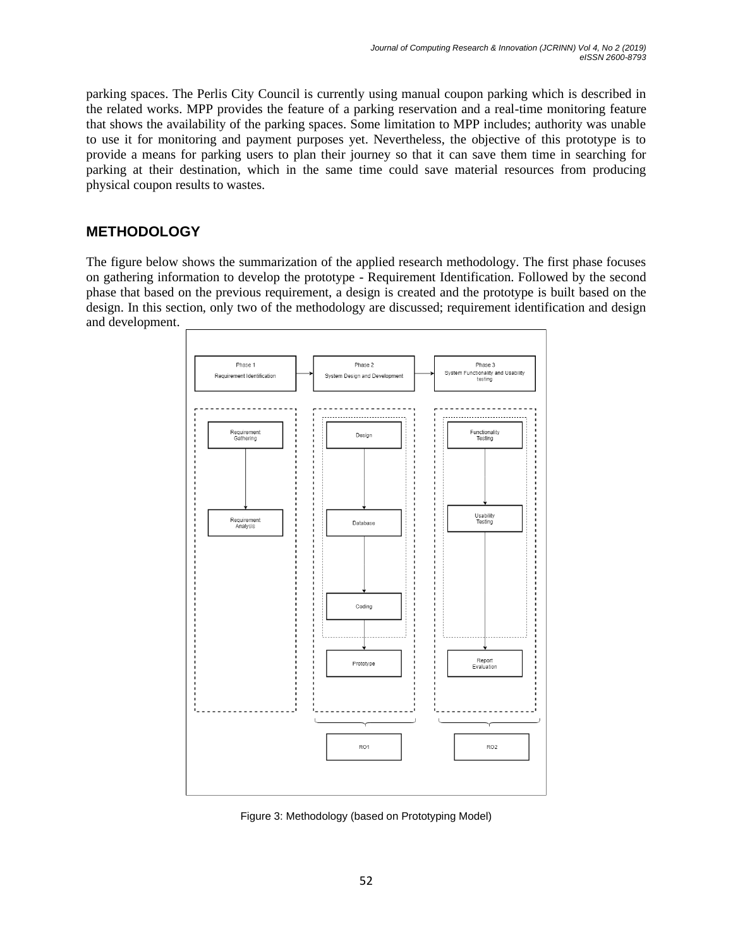parking spaces. The Perlis City Council is currently using manual coupon parking which is described in the related works. MPP provides the feature of a parking reservation and a real-time monitoring feature that shows the availability of the parking spaces. Some limitation to MPP includes; authority was unable to use it for monitoring and payment purposes yet. Nevertheless, the objective of this prototype is to provide a means for parking users to plan their journey so that it can save them time in searching for parking at their destination, which in the same time could save material resources from producing physical coupon results to wastes.

## **METHODOLOGY**

The figure below shows the summarization of the applied research methodology. The first phase focuses on gathering information to develop the prototype - Requirement Identification. Followed by the second phase that based on the previous requirement, a design is created and the prototype is built based on the design. In this section, only two of the methodology are discussed; requirement identification and design and development.



Figure 3: Methodology (based on Prototyping Model)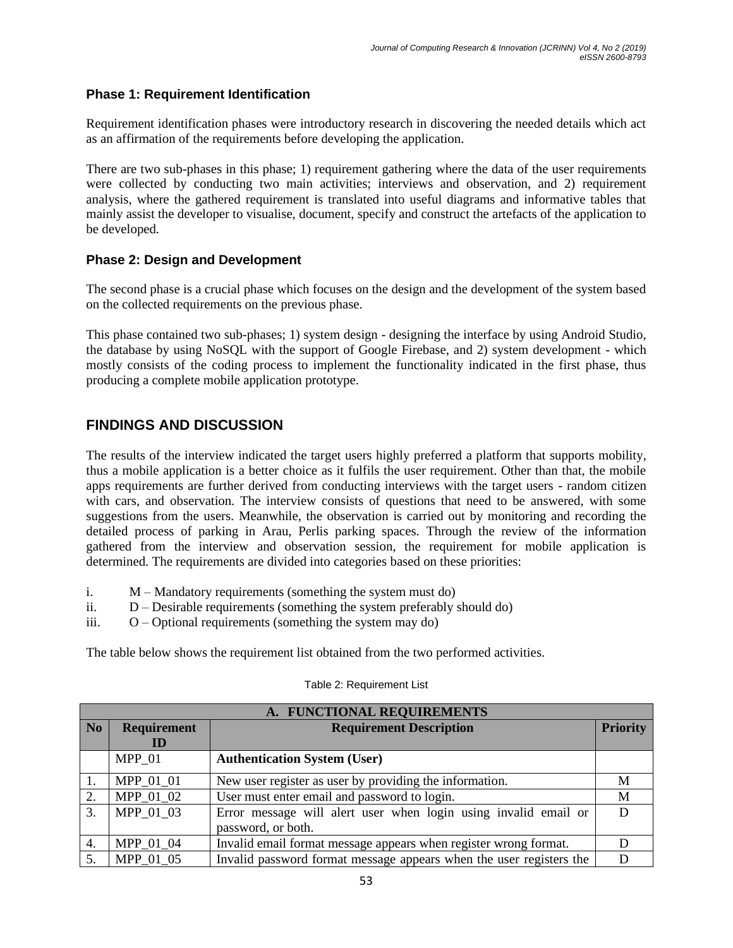### **Phase 1: Requirement Identification**

Requirement identification phases were introductory research in discovering the needed details which act as an affirmation of the requirements before developing the application.

There are two sub-phases in this phase; 1) requirement gathering where the data of the user requirements were collected by conducting two main activities; interviews and observation, and 2) requirement analysis, where the gathered requirement is translated into useful diagrams and informative tables that mainly assist the developer to visualise, document, specify and construct the artefacts of the application to be developed.

### **Phase 2: Design and Development**

The second phase is a crucial phase which focuses on the design and the development of the system based on the collected requirements on the previous phase.

This phase contained two sub-phases; 1) system design - designing the interface by using Android Studio, the database by using NoSQL with the support of Google Firebase, and 2) system development - which mostly consists of the coding process to implement the functionality indicated in the first phase, thus producing a complete mobile application prototype.

## **FINDINGS AND DISCUSSION**

The results of the interview indicated the target users highly preferred a platform that supports mobility, thus a mobile application is a better choice as it fulfils the user requirement. Other than that, the mobile apps requirements are further derived from conducting interviews with the target users - random citizen with cars, and observation. The interview consists of questions that need to be answered, with some suggestions from the users. Meanwhile, the observation is carried out by monitoring and recording the detailed process of parking in Arau, Perlis parking spaces. Through the review of the information gathered from the interview and observation session, the requirement for mobile application is determined. The requirements are divided into categories based on these priorities:

- i. M Mandatory requirements (something the system must do)
- ii. D Desirable requirements (something the system preferably should do)
- iii. O Optional requirements (something the system may do)

The table below shows the requirement list obtained from the two performed activities.

| A. FUNCTIONAL REQUIREMENTS |                                                      |                                                                                       |                 |  |
|----------------------------|------------------------------------------------------|---------------------------------------------------------------------------------------|-----------------|--|
| N <sub>o</sub>             | <b>Requirement</b><br><b>Requirement Description</b> |                                                                                       | <b>Priority</b> |  |
|                            | ID                                                   |                                                                                       |                 |  |
|                            | MPP 01                                               | <b>Authentication System (User)</b>                                                   |                 |  |
|                            | MPP 01 01                                            | New user register as user by providing the information.                               | M               |  |
| 2.                         | MPP 01 02                                            | User must enter email and password to login.                                          | M               |  |
| 3.                         | MPP 01 03                                            | Error message will alert user when login using invalid email or<br>password, or both. |                 |  |
| 4.                         | MPP 01 04                                            | Invalid email format message appears when register wrong format.                      |                 |  |
| 5.                         | MPP 01 05                                            | Invalid password format message appears when the user registers the                   |                 |  |

#### Table 2: Requirement List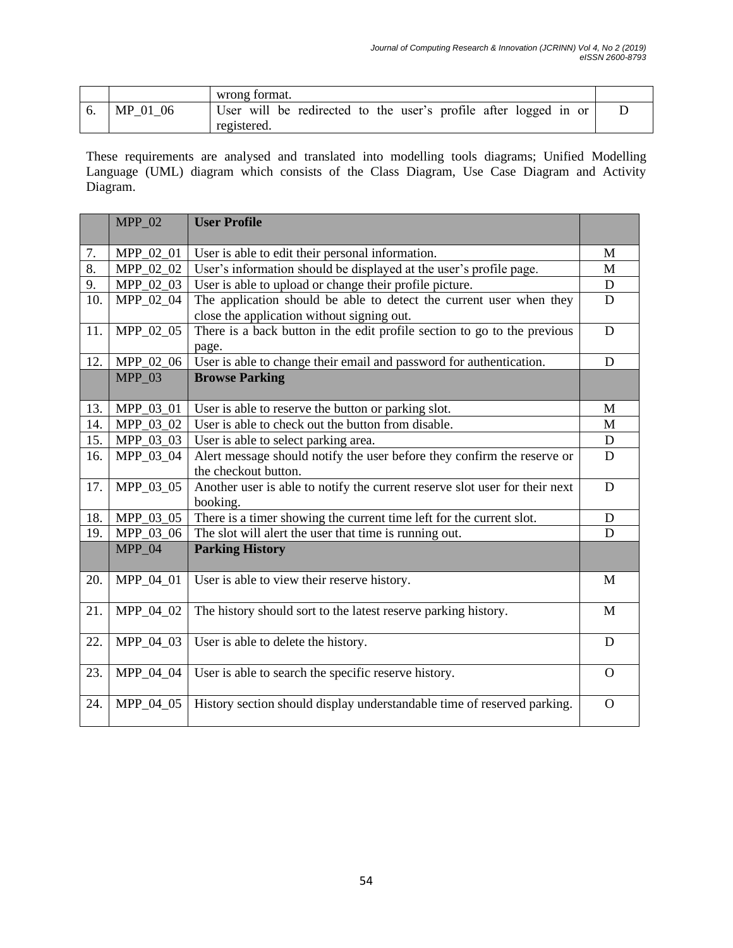|    |          | wrong format.                                                                   |  |
|----|----------|---------------------------------------------------------------------------------|--|
| v. | MP 01 06 | User will be redirected to the user's profile after logged in or<br>registered. |  |

These requirements are analysed and translated into modelling tools diagrams; Unified Modelling Language (UML) diagram which consists of the Class Diagram, Use Case Diagram and Activity Diagram.

|     | $MPP_02$  | <b>User Profile</b>                                                                                               |                |  |
|-----|-----------|-------------------------------------------------------------------------------------------------------------------|----------------|--|
| 7.  | MPP_02_01 | User is able to edit their personal information.                                                                  |                |  |
| 8.  | MPP_02_02 | User's information should be displayed at the user's profile page.                                                |                |  |
| 9.  | MPP_02_03 | User is able to upload or change their profile picture.                                                           | $\mathbf D$    |  |
| 10. | MPP_02_04 | The application should be able to detect the current user when they<br>close the application without signing out. | D              |  |
| 11. | MPP 02 05 | There is a back button in the edit profile section to go to the previous<br>page.                                 | D              |  |
| 12. | MPP_02_06 | User is able to change their email and password for authentication.                                               | D              |  |
|     | $MPP_03$  | <b>Browse Parking</b>                                                                                             |                |  |
| 13. | MPP_03_01 | User is able to reserve the button or parking slot.                                                               | M              |  |
| 14. | MPP_03_02 | User is able to check out the button from disable.                                                                | M              |  |
| 15. | MPP_03_03 | User is able to select parking area.                                                                              | $\mathbf D$    |  |
| 16. | MPP_03_04 | Alert message should notify the user before they confirm the reserve or<br>the checkout button.                   | D              |  |
| 17. | MPP_03_05 | Another user is able to notify the current reserve slot user for their next<br>booking.                           | D              |  |
| 18. | MPP_03_05 | There is a timer showing the current time left for the current slot.                                              | D              |  |
| 19. | MPP_03_06 | The slot will alert the user that time is running out.                                                            | D              |  |
|     | $MPP_04$  | <b>Parking History</b>                                                                                            |                |  |
| 20. | MPP_04_01 | User is able to view their reserve history.                                                                       | M              |  |
| 21. | MPP_04_02 | The history should sort to the latest reserve parking history.                                                    | M              |  |
| 22. | MPP_04_03 | User is able to delete the history.                                                                               | D              |  |
| 23. | MPP_04_04 | User is able to search the specific reserve history.                                                              | $\overline{O}$ |  |
| 24. | MPP 04 05 | History section should display understandable time of reserved parking.                                           | $\overline{O}$ |  |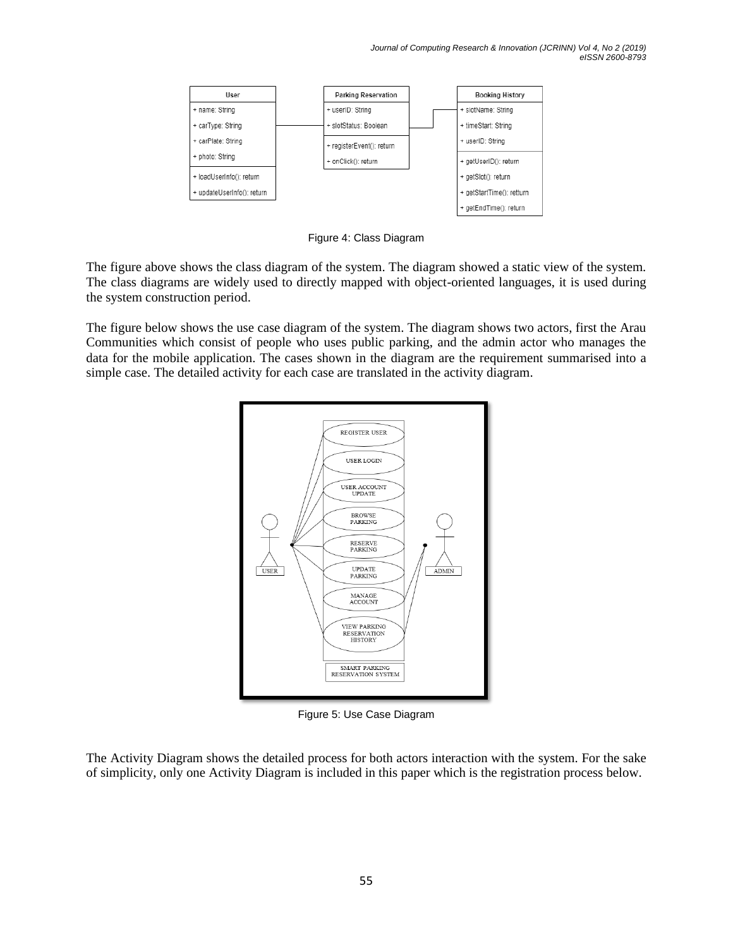

Figure 4: Class Diagram

The figure above shows the class diagram of the system. The diagram showed a static view of the system. The class diagrams are widely used to directly mapped with object-oriented languages, it is used during the system construction period.

The figure below shows the use case diagram of the system. The diagram shows two actors, first the Arau Communities which consist of people who uses public parking, and the admin actor who manages the data for the mobile application. The cases shown in the diagram are the requirement summarised into a simple case. The detailed activity for each case are translated in the activity diagram.



Figure 5: Use Case Diagram

The Activity Diagram shows the detailed process for both actors interaction with the system. For the sake of simplicity, only one Activity Diagram is included in this paper which is the registration process below.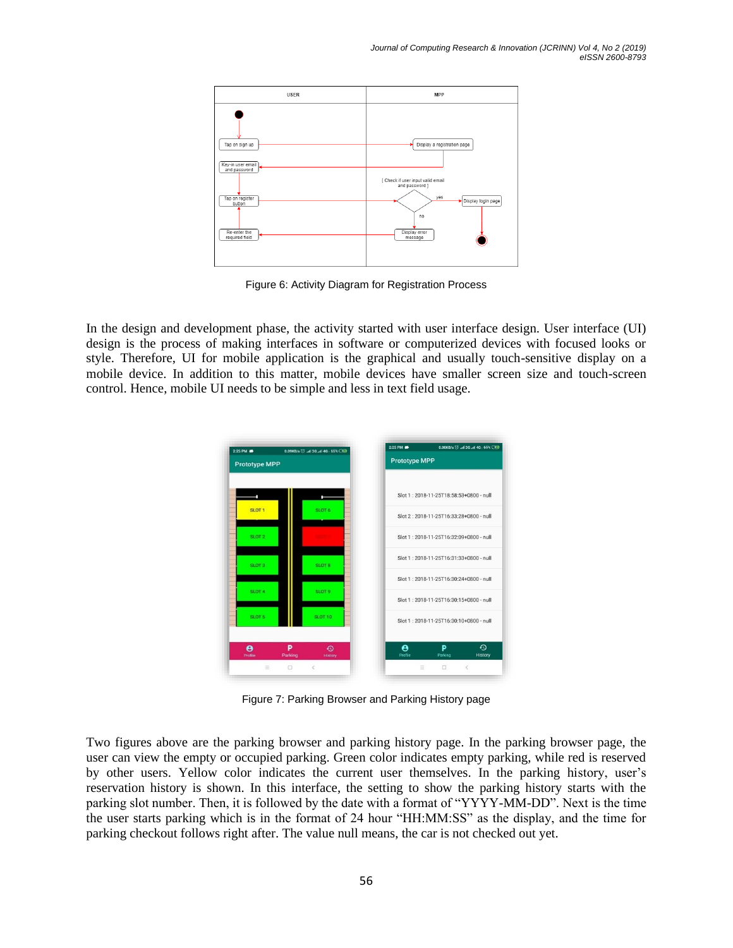

Figure 6: Activity Diagram for Registration Process

In the design and development phase, the activity started with user interface design. User interface (UI) design is the process of making interfaces in software or computerized devices with focused looks or style. Therefore, UI for mobile application is the graphical and usually touch-sensitive display on a mobile device. In addition to this matter, mobile devices have smaller screen size and touch-screen control. Hence, mobile UI needs to be simple and less in text field usage.



Figure 7: Parking Browser and Parking History page

Two figures above are the parking browser and parking history page. In the parking browser page, the user can view the empty or occupied parking. Green color indicates empty parking, while red is reserved by other users. Yellow color indicates the current user themselves. In the parking history, user's reservation history is shown. In this interface, the setting to show the parking history starts with the parking slot number. Then, it is followed by the date with a format of "YYYY-MM-DD". Next is the time the user starts parking which is in the format of 24 hour "HH:MM:SS" as the display, and the time for parking checkout follows right after. The value null means, the car is not checked out yet.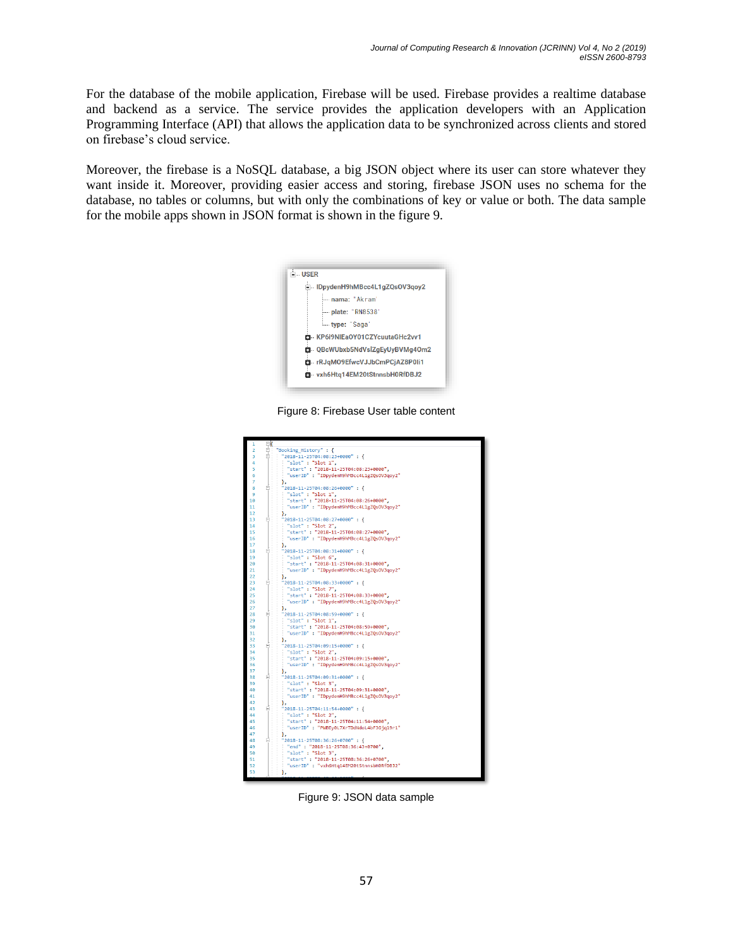For the database of the mobile application, Firebase will be used. Firebase provides a realtime database and backend as a service. The service provides the application developers with an Application Programming Interface (API) that allows the application data to be synchronized across clients and stored on firebase's cloud service.

Moreover, the firebase is a NoSQL database, a big JSON object where its user can store whatever they want inside it. Moreover, providing easier access and storing, firebase JSON uses no schema for the database, no tables or columns, but with only the combinations of key or value or both. The data sample for the mobile apps shown in JSON format is shown in the figure 9.



Figure 8: Firebase User table content



Figure 9: JSON data sample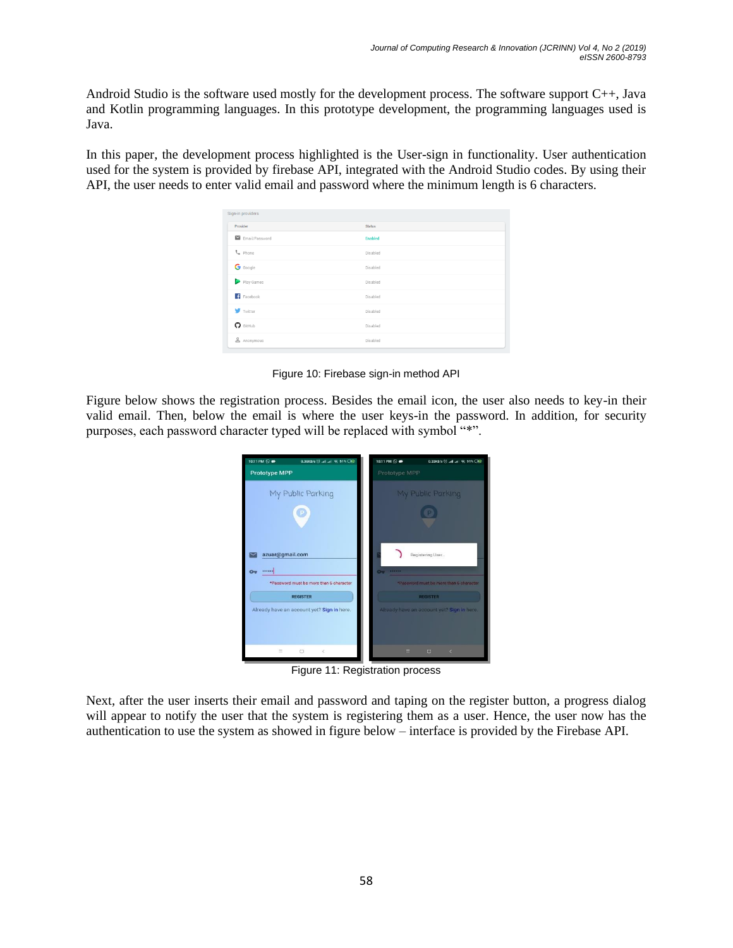Android Studio is the software used mostly for the development process. The software support C++, Java and Kotlin programming languages. In this prototype development, the programming languages used is Java.

In this paper, the development process highlighted is the User-sign in functionality. User authentication used for the system is provided by firebase API, integrated with the Android Studio codes. By using their API, the user needs to enter valid email and password where the minimum length is 6 characters.

| Sign-in providers<br>Provider | <b>Status</b> |  |
|-------------------------------|---------------|--|
| Email/Password                | Enabled       |  |
| t. Phone                      | Disabled      |  |
| G Google                      | Disabled      |  |
| Play Games                    | Disabled      |  |
| Facebook                      | Disabled      |  |
| Twitter                       | Disabled      |  |
| $\Omega$ GitHub               | Disabled      |  |
| & Anonymous                   | Disabled      |  |

Figure 10: Firebase sign-in method API

Figure below shows the registration process. Besides the email icon, the user also needs to key-in their valid email. Then, below the email is where the user keys-in the password. In addition, for security purposes, each password character typed will be replaced with symbol "\*".



Figure 11: Registration process

Next, after the user inserts their email and password and taping on the register button, a progress dialog will appear to notify the user that the system is registering them as a user. Hence, the user now has the authentication to use the system as showed in figure below – interface is provided by the Firebase API.